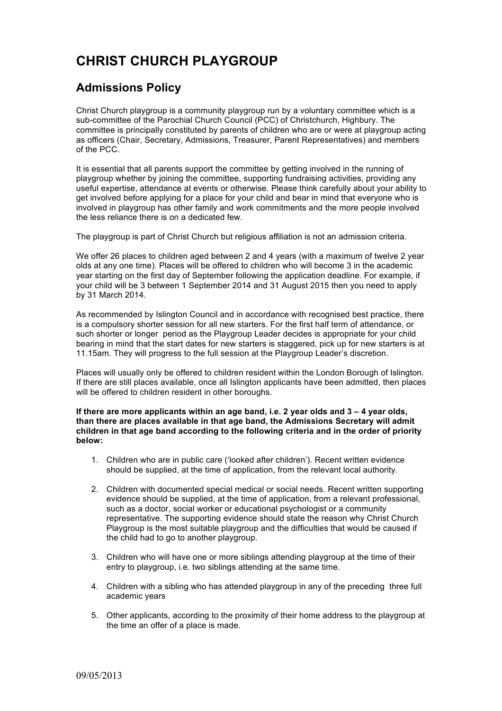## **CHRIST CHURCH PLAYGROUP**

## **Admissions Policy**

Christ Church playgroup is a community playgroup run by a voluntary committee which is a sub-committee of the Parochial Church Council (PCC) of Christchurch, Highbury. The committee is principally constituted by parents of children who are or were at playgroup acting as officers (Chair, Secretary, Admissions, Treasurer, Parent Representatives) and members of the PCC.

It is essential that all parents support the committee by getting involved in the running of playgroup whether by joining the committee, supporting fundraising activities, providing any useful expertise, attendance at events or otherwise. Please think carefully about your ability to get involved before applying for a place for your child and bear in mind that everyone who is involved in playgroup has other family and work commitments and the more people involved the less reliance there is on a dedicated few.

The playgroup is part of Christ Church but religious affiliation is not an admission criteria.

We offer 26 places to children aged between 2 and 4 years (with a maximum of twelve 2 year olds at any one time). Places will be offered to children who will become 3 in the academic year starting on the first day of September following the application deadline. For example, if your child will be 3 between 1 September 2014 and 31 August 2015 then you need to apply by 31 March 2014.

As recommended by Islington Council and in accordance with recognised best practice, there is a compulsory shorter session for all new starters. For the first half term of attendance, or such shorter or longer period as the Playgroup Leader decides is appropriate for your child bearing in mind that the start dates for new starters is staggered, pick up for new starters is at 11.15am. They will progress to the full session at the Playgroup Leader's discretion.

Places will usually only be offered to children resident within the London Borough of Islington. If there are still places available, once all Islington applicants have been admitted, then places will be offered to children resident in other boroughs.

**If there are more applicants within an age band, i.e. 2 year olds and 3 – 4 year olds, than there are places available in that age band, the Admissions Secretary will admit children in that age band according to the following criteria and in the order of priority below:**

- 1. Children who are in public care ('looked after children'). Recent written evidence should be supplied, at the time of application, from the relevant local authority.
- 2. Children with documented special medical or social needs. Recent written supporting evidence should be supplied, at the time of application, from a relevant professional, such as a doctor, social worker or educational psychologist or a community representative. The supporting evidence should state the reason why Christ Church Playgroup is the most suitable playgroup and the difficulties that would be caused if the child had to go to another playgroup.
- 3. Children who will have one or more siblings attending playgroup at the time of their entry to playgroup, i.e. two siblings attending at the same time.
- 4. Children with a sibling who has attended playgroup in any of the preceding three full academic years
- 5. Other applicants, according to the proximity of their home address to the playgroup at the time an offer of a place is made.